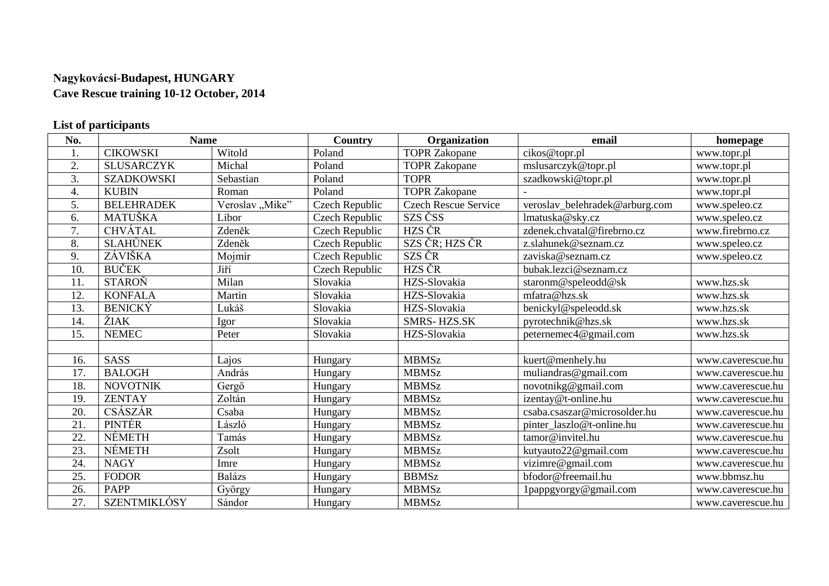## **Nagykovácsi-Budapest, HUNGARY Cave Rescue training 10-12 October, 2014**

## **List of participants**

| No. | <b>Name</b>         |                 | <b>Country</b> | Organization                | email                          | homepage          |
|-----|---------------------|-----------------|----------------|-----------------------------|--------------------------------|-------------------|
| 1.  | <b>CIKOWSKI</b>     | Witold          | Poland         | <b>TOPR Zakopane</b>        | cikos@topr.pl                  | www.topr.pl       |
| 2.  | <b>SLUSARCZYK</b>   | Michal          | Poland         | <b>TOPR Zakopane</b>        | mslusarczyk@topr.pl            | www.topr.pl       |
| 3.  | <b>SZADKOWSKI</b>   | Sebastian       | Poland         | <b>TOPR</b>                 | szadkowski@topr.pl             | www.topr.pl       |
| 4.  | <b>KUBIN</b>        | Roman           | Poland         | <b>TOPR Zakopane</b>        |                                | www.topr.pl       |
| 5.  | <b>BELEHRADEK</b>   | Veroslav "Mike" | Czech Republic | <b>Czech Rescue Service</b> | veroslav_belehradek@arburg.com | www.speleo.cz     |
| 6.  | MATUŠKA             | Libor           | Czech Republic | SZS ČSS                     | lmatuska@sky.cz                | www.speleo.cz     |
| 7.  | <b>CHVÁTAL</b>      | Zdeněk          | Czech Republic | HZS ČR                      | zdenek.chvatal@firebrno.cz     | www.firebrno.cz   |
| 8.  | <b>SLAHŮNEK</b>     | Zdeněk          | Czech Republic | SZS ČR; HZS ČR              | z.slahunek@seznam.cz           | www.speleo.cz     |
| 9.  | ZÁVIŠKA             | Mojmír          | Czech Republic | SZS ČR                      | zaviska@seznam.cz              | www.speleo.cz     |
| 10. | <b>BUČEK</b>        | Jiří            | Czech Republic | HZS ČR                      | bubak.lezci@seznam.cz          |                   |
| 11. | <b>STAROŇ</b>       | Milan           | Slovakia       | HZS-Slovakia                | staronm@speleodd@sk            | www.hzs.sk        |
| 12. | <b>KONFALA</b>      | Martin          | Slovakia       | HZS-Slovakia                | mfatra@hzs.sk                  | www.hzs.sk        |
| 13. | <b>BENICKÝ</b>      | Lukáš           | Slovakia       | HZS-Slovakia                | benickyl@speleodd.sk           | www.hzs.sk        |
| 14. | ŽIAK                | Igor            | Slovakia       | <b>SMRS-HZS.SK</b>          | pyrotechnik@hzs.sk             | www.hzs.sk        |
| 15. | <b>NEMEC</b>        | Peter           | Slovakia       | HZS-Slovakia                | peternemec4@gmail.com          | www.hzs.sk        |
|     |                     |                 |                |                             |                                |                   |
| 16. | <b>SASS</b>         | Lajos           | Hungary        | <b>MBMSz</b>                | kuert@menhely.hu               | www.caverescue.hu |
| 17. | <b>BALOGH</b>       | András          | Hungary        | <b>MBMSz</b>                | muliandras@gmail.com           | www.caverescue.hu |
| 18. | <b>NOVOTNIK</b>     | Gergő           | Hungary        | <b>MBMSz</b>                | novotnikg@gmail.com            | www.caverescue.hu |
| 19. | <b>ZENTAY</b>       | Zoltán          | Hungary        | <b>MBMSz</b>                | izentay@t-online.hu            | www.caverescue.hu |
| 20. | <b>CSÁSZÁR</b>      | Csaba           | Hungary        | <b>MBMSz</b>                | csaba.csaszar@microsolder.hu   | www.caverescue.hu |
| 21. | <b>PINTÉR</b>       | László          | Hungary        | <b>MBMSz</b>                | pinter laszlo@t-online.hu      | www.caverescue.hu |
| 22. | <b>NÉMETH</b>       | Tamás           | Hungary        | <b>MBMSz</b>                | tamor@invitel.hu               | www.caverescue.hu |
| 23. | <b>NÉMETH</b>       | Zsolt           | Hungary        | <b>MBMSz</b>                | kutyauto22@gmail.com           | www.caverescue.hu |
| 24. | <b>NAGY</b>         | Imre            | Hungary        | <b>MBMSz</b>                | vizimre@gmail.com              | www.caverescue.hu |
| 25. | <b>FODOR</b>        | <b>Balázs</b>   | Hungary        | <b>BBMSz</b>                | bfodor@freemail.hu             | www.bbmsz.hu      |
| 26. | <b>PAPP</b>         | György          | Hungary        | <b>MBMSz</b>                | 1pappgyorgy@gmail.com          | www.caverescue.hu |
| 27. | <b>SZENTMIKLÓSY</b> | Sándor          | Hungary        | <b>MBMSz</b>                |                                | www.caverescue.hu |